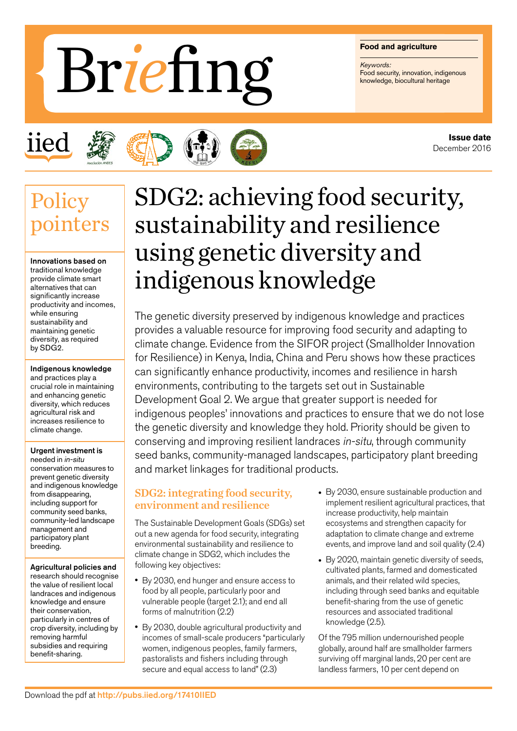#### **Food and agriculture**

*Keywords:*

# Food and agriculture<br>Food security, innovation, indigenous Brief Knowledge, biocultural heritage







## **Policy** pointers

Innovations based on traditional knowledge provide climate smart alternatives that can significantly increase productivity and incomes, while ensuring sustainability and maintaining genetic diversity, as required by SDG2.

#### Indigenous knowledge and practices play a crucial role in maintaining and enhancing genetic diversity, which reduces agricultural risk and increases resilience to climate change.

#### Urgent investment is

needed in in-situ conservation measures to prevent genetic diversity and indigenous knowledge from disappearing, including support for community seed banks, community-led landscape management and participatory plant breeding.

Agricultural policies and research should recognise the value of resilient local landraces and indigenous knowledge and ensure their conservation, particularly in centres of crop diversity, including by removing harmful subsidies and requiring benefit-sharing.

## SDG2: achieving food security, sustainability and resilience using genetic diversity and indigenous knowledge

The genetic diversity preserved by indigenous knowledge and practices provides a valuable resource for improving food security and adapting to climate change. Evidence from the SIFOR project (Smallholder Innovation for Resilience) in Kenya, India, China and Peru shows how these practices can significantly enhance productivity, incomes and resilience in harsh environments, contributing to the targets set out in Sustainable Development Goal 2. We argue that greater support is needed for indigenous peoples' innovations and practices to ensure that we do not lose the genetic diversity and knowledge they hold. Priority should be given to conserving and improving resilient landraces in-situ, through community seed banks, community-managed landscapes, participatory plant breeding and market linkages for traditional products.

#### SDG2: integrating food security, environment and resilience

The Sustainable Development Goals (SDGs) set out a new agenda for food security, integrating environmental sustainability and resilience to climate change in SDG2, which includes the following key objectives:

- By 2030, end hunger and ensure access to food by all people, particularly poor and vulnerable people (target 2.1); and end all forms of malnutrition (2.2)
- By 2030, double agricultural productivity and incomes of small-scale producers "particularly women, indigenous peoples, family farmers, pastoralists and fishers including through secure and equal access to land" (2.3)
- By 2030, ensure sustainable production and implement resilient agricultural practices, that increase productivity, help maintain ecosystems and strengthen capacity for adaptation to climate change and extreme events, and improve land and soil quality (2.4)
- By 2020, maintain genetic diversity of seeds, cultivated plants, farmed and domesticated animals, and their related wild species, including through seed banks and equitable benefit-sharing from the use of genetic resources and associated traditional knowledge (2.5).

Of the 795 million undernourished people globally, around half are smallholder farmers surviving off marginal lands, 20 per cent are landless farmers, 10 per cent depend on

**Issue date** December 2016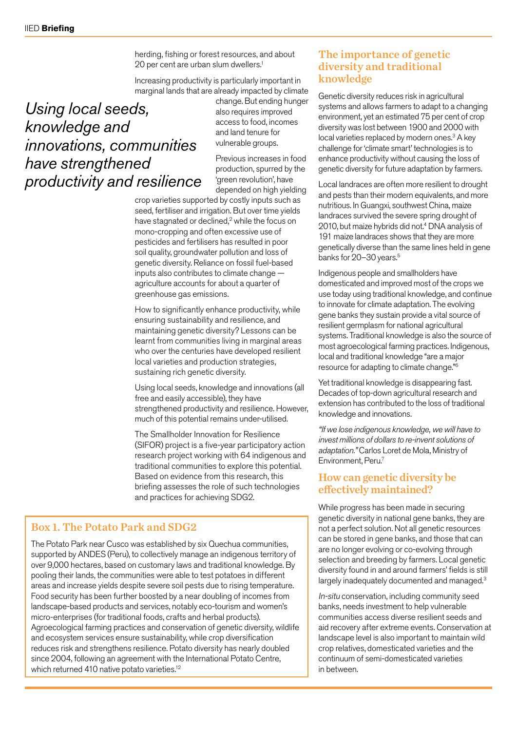herding, fishing or forest resources, and about 20 per cent are urban slum dwellers.<sup>1</sup>

Increasing productivity is particularly important in marginal lands that are already impacted by climate

### *Using local seeds, knowledge and innovations, communities have strengthened productivity and resilience*

change. But ending hunger also requires improved access to food, incomes and land tenure for vulnerable groups.

Previous increases in food production, spurred by the 'green revolution', have depended on high yielding

crop varieties supported by costly inputs such as seed, fertiliser and irrigation. But over time yields have stagnated or declined, $2$  while the focus on mono-cropping and often excessive use of pesticides and fertilisers has resulted in poor soil quality, groundwater pollution and loss of genetic diversity. Reliance on fossil fuel-based inputs also contributes to climate change agriculture accounts for about a quarter of greenhouse gas emissions.

How to significantly enhance productivity, while ensuring sustainability and resilience, and maintaining genetic diversity? Lessons can be learnt from communities living in marginal areas who over the centuries have developed resilient local varieties and production strategies, sustaining rich genetic diversity.

Using local seeds, knowledge and innovations (all free and easily accessible), they have strengthened productivity and resilience. However, much of this potential remains under-utilised.

The Smallholder Innovation for Resilience (SIFOR) project is a five-year participatory action research project working with 64 indigenous and traditional communities to explore this potential. Based on evidence from this research, this briefing assesses the role of such technologies and practices for achieving SDG2.

#### Box 1. The Potato Park and SDG2

The Potato Park near Cusco was established by six Quechua communities, supported by ANDES (Peru), to collectively manage an indigenous territory of over 9,000 hectares, based on customary laws and traditional knowledge. By pooling their lands, the communities were able to test potatoes in different areas and increase yields despite severe soil pests due to rising temperature. Food security has been further boosted by a near doubling of incomes from landscape-based products and services, notably eco-tourism and women's micro-enterprises (for traditional foods, crafts and herbal products). Agroecological farming practices and conservation of genetic diversity, wildlife and ecosystem services ensure sustainability, while crop diversification reduces risk and strengthens resilience. Potato diversity has nearly doubled since 2004, following an agreement with the International Potato Centre, which returned 410 native potato varieties.<sup>12</sup>

#### The importance of genetic diversity and traditional knowledge

Genetic diversity reduces risk in agricultural systems and allows farmers to adapt to a changing environment, yet an estimated 75 per cent of crop diversity was lost between 1900 and 2000 with local varieties replaced by modern ones.<sup>3</sup> A key challenge for 'climate smart' technologies is to enhance productivity without causing the loss of genetic diversity for future adaptation by farmers.

Local landraces are often more resilient to drought and pests than their modern equivalents, and more nutritious. In Guangxi, southwest China, maize landraces survived the severe spring drought of 2010, but maize hybrids did not.<sup>4</sup> DNA analysis of 191 maize landraces shows that they are more genetically diverse than the same lines held in gene banks for 20-30 years.<sup>5</sup>

Indigenous people and smallholders have domesticated and improved most of the crops we use today using traditional knowledge, and continue to innovate for climate adaptation. The evolving gene banks they sustain provide a vital source of resilient germplasm for national agricultural systems. Traditional knowledge is also the source of most agroecological farming practices. Indigenous, local and traditional knowledge "are a major resource for adapting to climate change."6

Yet traditional knowledge is disappearing fast. Decades of top-down agricultural research and extension has contributed to the loss of traditional knowledge and innovations.

*"If we lose indigenous knowledge, we will have to invest millions of dollars to re-invent solutions of adaptation."* Carlos Loret de Mola, Ministry of Environment, Peru.7

#### How can genetic diversity be effectively maintained?

While progress has been made in securing genetic diversity in national gene banks, they are not a perfect solution. Not all genetic resources can be stored in gene banks, and those that can are no longer evolving or co-evolving through selection and breeding by farmers. Local genetic diversity found in and around farmers' fields is still largely inadequately documented and managed.<sup>3</sup>

In-situ conservation, including community seed banks, needs investment to help vulnerable communities access diverse resilient seeds and aid recovery after extreme events. Conservation at landscape level is also important to maintain wild crop relatives, domesticated varieties and the continuum of semi-domesticated varieties in between.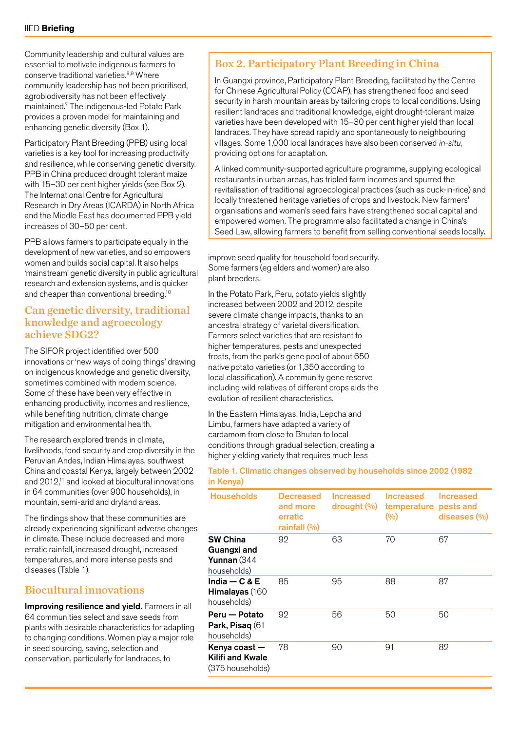Community leadership and cultural values are essential to motivate indigenous farmers to conserve traditional varieties.8,9 Where community leadership has not been prioritised, agrobiodiversity has not been effectively maintained.7 The indigenous-led Potato Park provides a proven model for maintaining and enhancing genetic diversity (Box 1).

Participatory Plant Breeding (PPB) using local varieties is a key tool for increasing productivity and resilience, while conserving genetic diversity. PPB in China produced drought tolerant maize with 15–30 per cent higher yields (see Box 2). The International Centre for Agricultural Research in Dry Areas (ICARDA) in North Africa and the Middle East has documented PPB yield increases of 30–50 per cent.

PPB allows farmers to participate equally in the development of new varieties, and so empowers women and builds social capital. It also helps 'mainstream' genetic diversity in public agricultural research and extension systems, and is quicker and cheaper than conventional breeding.<sup>10</sup>

#### Can genetic diversity, traditional knowledge and agroecology achieve SDG2?

The SIFOR project identified over 500 innovations or 'new ways of doing things' drawing on indigenous knowledge and genetic diversity, sometimes combined with modern science. Some of these have been very effective in enhancing productivity, incomes and resilience, while benefiting nutrition, climate change mitigation and environmental health.

The research explored trends in climate, livelihoods, food security and crop diversity in the Peruvian Andes, Indian Himalayas, southwest China and coastal Kenya, largely between 2002 and 2012,11 and looked at biocultural innovations in 64 communities (over 900 households), in mountain, semi-arid and dryland areas.

The findings show that these communities are already experiencing significant adverse changes in climate. These include decreased and more erratic rainfall, increased drought, increased temperatures, and more intense pests and diseases (Table 1).

#### Biocultural innovations

Improving resilience and yield. Farmers in all 64 communities select and save seeds from plants with desirable characteristics for adapting to changing conditions. Women play a major role in seed sourcing, saving, selection and conservation, particularly for landraces, to

#### Box 2. Participatory Plant Breeding in China

In Guangxi province, Participatory Plant Breeding, facilitated by the Centre for Chinese Agricultural Policy (CCAP), has strengthened food and seed security in harsh mountain areas by tailoring crops to local conditions. Using resilient landraces and traditional knowledge, eight drought-tolerant maize varieties have been developed with 15–30 per cent higher yield than local landraces. They have spread rapidly and spontaneously to neighbouring villages. Some 1,000 local landraces have also been conserved in-situ, providing options for adaptation.

A linked community-supported agriculture programme, supplying ecological restaurants in urban areas, has tripled farm incomes and spurred the revitalisation of traditional agroecological practices (such as duck-in-rice) and locally threatened heritage varieties of crops and livestock. New farmers' organisations and women's seed fairs have strengthened social capital and empowered women. The programme also facilitated a change in China's Seed Law, allowing farmers to benefit from selling conventional seeds locally.

improve seed quality for household food security. Some farmers (eg elders and women) are also plant breeders.

In the Potato Park, Peru, potato yields slightly increased between 2002 and 2012, despite severe climate change impacts, thanks to an ancestral strategy of varietal diversification. Farmers select varieties that are resistant to higher temperatures, pests and unexpected frosts, from the park's gene pool of about 650 native potato varieties (or 1,350 according to local classification). A community gene reserve including wild relatives of different crops aids the evolution of resilient characteristics.

In the Eastern Himalayas, India, Lepcha and Limbu, farmers have adapted a variety of cardamom from close to Bhutan to local conditions through gradual selection, creating a higher yielding variety that requires much less

#### Table 1. Climatic changes observed by households since 2002 (1982 in Kenya)

| <b>Households</b>                                            | <b>Decreased</b><br>and more<br>erratic<br>rainfall $(\% )$ | <b>Increased</b><br>$\frac{d$ rought $\left(\frac{0}{0}\right)^{d}$ | <b>Increased</b><br>temperature pests and<br>(9/0) | Increased<br>diseases (%) |
|--------------------------------------------------------------|-------------------------------------------------------------|---------------------------------------------------------------------|----------------------------------------------------|---------------------------|
| <b>SW China</b><br>Guangxi and<br>Yunnan (344<br>households) | 92                                                          | 63                                                                  | 70                                                 | 67                        |
| India $-$ C & E<br>Himalayas (160<br>households)             | 85                                                          | 95                                                                  | 88                                                 | 87                        |
| Peru — Potato<br><b>Park, Pisag (61)</b><br>households)      | 92                                                          | 56                                                                  | 50                                                 | 50                        |
| Kenya coast —<br>Kilifi and Kwale<br>(375 households)        | 78                                                          | 90                                                                  | 91                                                 | 82                        |